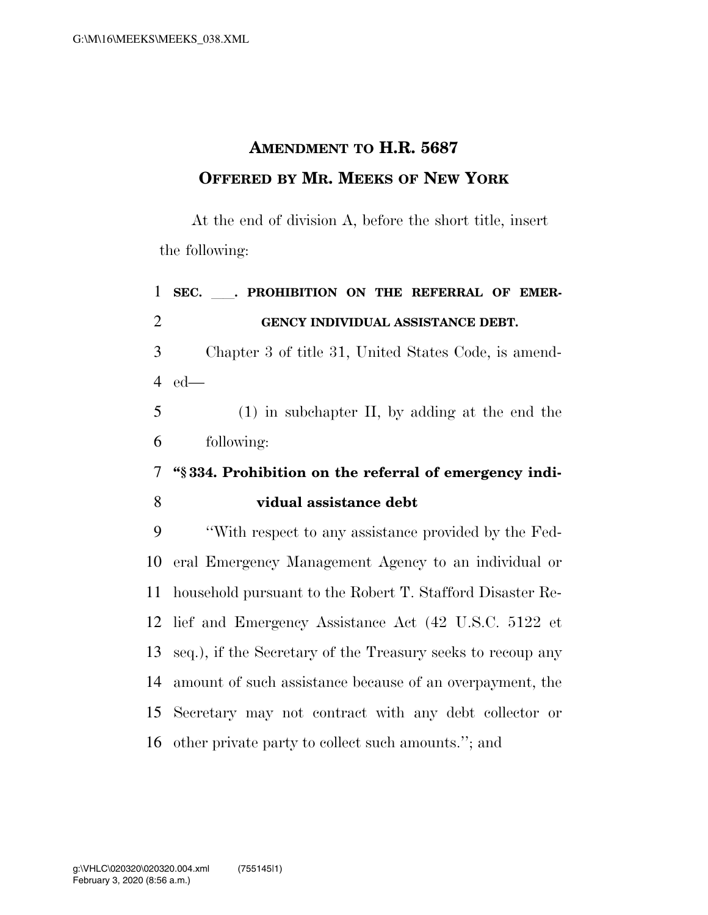## **AMENDMENT TO H.R. 5687 OFFERED BY MR. MEEKS OF NEW YORK**

At the end of division A, before the short title, insert the following:

| $\mathbf{1}$   | SEC. . PROHIBITION ON THE REFERRAL OF EMER-                 |  |  |
|----------------|-------------------------------------------------------------|--|--|
| $\overline{2}$ | GENCY INDIVIDUAL ASSISTANCE DEBT.                           |  |  |
| 3              | Chapter 3 of title 31, United States Code, is amend-        |  |  |
| $\overline{4}$ | $ed$ —                                                      |  |  |
| 5              | $(1)$ in subchapter II, by adding at the end the            |  |  |
| 6              | following:                                                  |  |  |
| $\overline{7}$ | "\\$334. Prohibition on the referral of emergency indi-     |  |  |
| 8              | vidual assistance debt                                      |  |  |
| 9              | "With respect to any assistance provided by the Fed-        |  |  |
| 10             | eral Emergency Management Agency to an individual or        |  |  |
| 11             | household pursuant to the Robert T. Stafford Disaster Re-   |  |  |
| 12             | lief and Emergency Assistance Act (42 U.S.C. 5122 et        |  |  |
| 13             | seq.), if the Secretary of the Treasury seeks to recoup any |  |  |
| 14             | amount of such assistance because of an overpayment, the    |  |  |
| 15             | Secretary may not contract with any debt collector or       |  |  |
| 16             | other private party to collect such amounts."; and          |  |  |